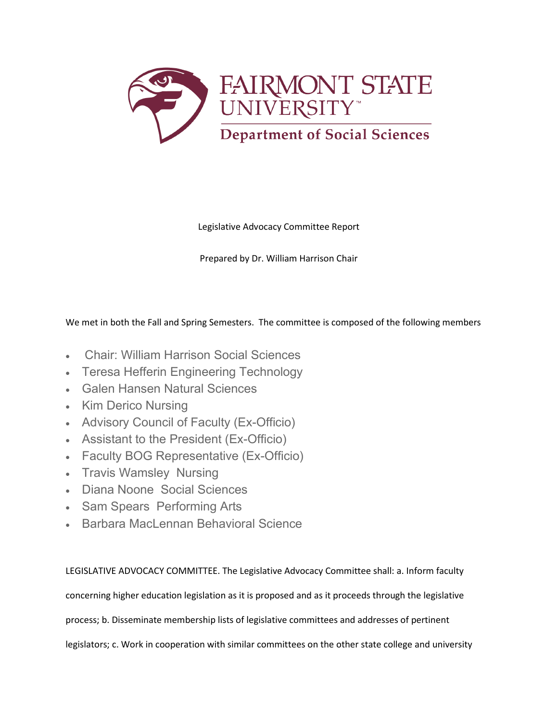

Legislative Advocacy Committee Report

Prepared by Dr. William Harrison Chair

We met in both the Fall and Spring Semesters. The committee is composed of the following members

- Chair: William Harrison Social Sciences
- Teresa Hefferin Engineering Technology
- Galen Hansen Natural Sciences
- Kim Derico Nursing
- Advisory Council of Faculty (Ex-Officio)
- Assistant to the President (Ex-Officio)
- Faculty BOG Representative (Ex-Officio)
- Travis Wamsley Nursing
- Diana Noone Social Sciences
- Sam Spears Performing Arts
- Barbara MacLennan Behavioral Science

LEGISLATIVE ADVOCACY COMMITTEE. The Legislative Advocacy Committee shall: a. Inform faculty

concerning higher education legislation as it is proposed and as it proceeds through the legislative

process; b. Disseminate membership lists of legislative committees and addresses of pertinent

legislators; c. Work in cooperation with similar committees on the other state college and university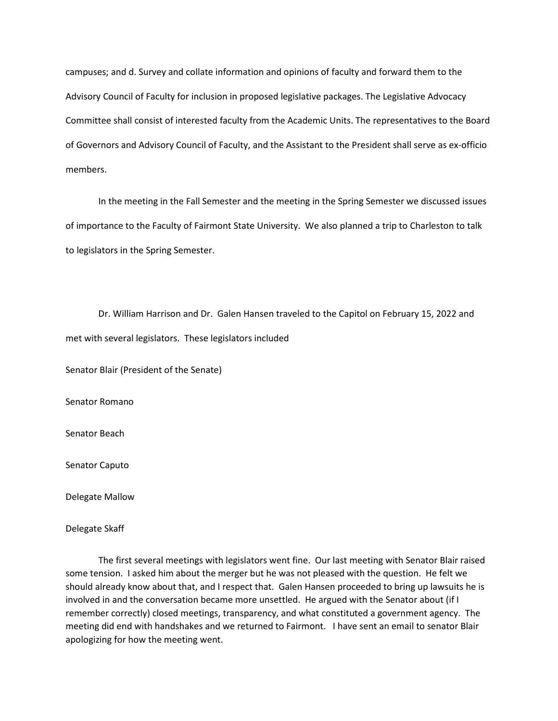campuses; and d. Survey and collate information and opinions of faculty and forward them to the Advisory Council of Faculty for inclusion in proposed legislative packages. The Legislative Advocacy Committee shall consist of interested faculty from the Academic Units. The representatives to the Board of Governors and Advisory Council of Faculty, and the Assistant to the President shall serve as ex-officio members.

In the meeting in the Fall Semester and the meeting in the Spring Semester we discussed issues of importance to the Faculty of Fairmont State University. We also planned a trip to Charleston to talk to legislators in the Spring Semester.

Dr. William Harrison and Dr. Galen Hansen traveled to the Capitol on February 15, 2022 and met with several legislators. These legislators included

Senator Blair (President of the Senate)

Senator Romano

Senator Beach

Senator Caputo

Delegate Mallow

Delegate Skaff

The first several meetings with legislators went fine. Our last meeting with Senator Blair raised some tension. I asked him about the merger but he was not pleased with the question. He felt we should already know about that, and I respect that. Galen Hansen proceeded to bring up lawsuits he is involved in and the conversation became more unsettled. He argued with the Senator about (if I remember correctly) closed meetings, transparency, and what constituted a government agency. The meeting did end with handshakes and we returned to Fairmont. I have sent an email to senator Blair apologizing for how the meeting went.